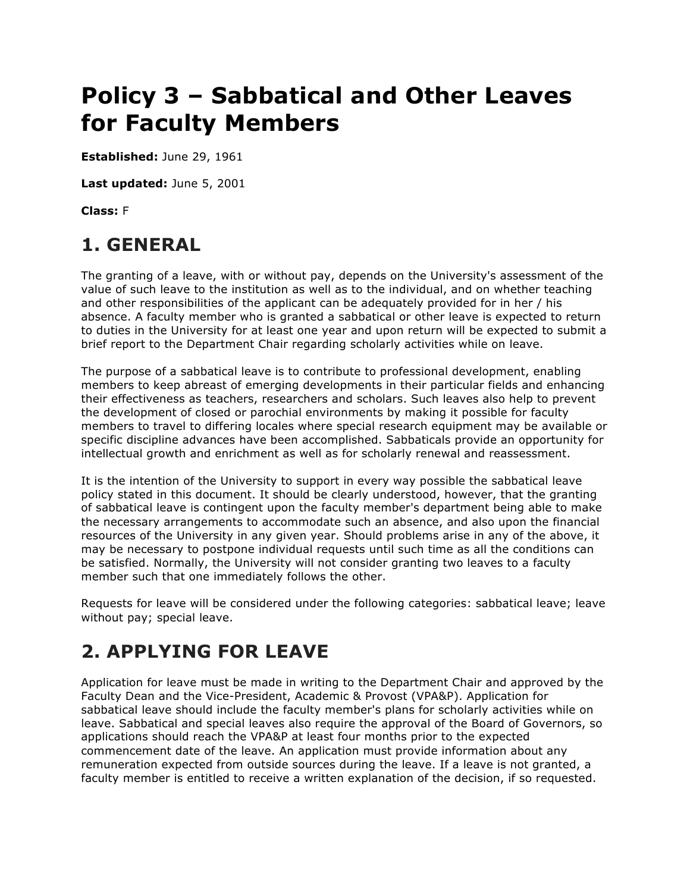# **Policy 3 – Sabbatical and Other Leaves for Faculty Members**

**Established:** June 29, 1961

**Last updated:** June 5, 2001

**Class:** F

### **1. GENERAL**

 The granting of a leave, with or without pay, depends on the University's assessment of the value of such leave to the institution as well as to the individual, and on whether teaching and other responsibilities of the applicant can be adequately provided for in her / his absence. A faculty member who is granted a sabbatical or other leave is expected to return to duties in the University for at least one year and upon return will be expected to submit a brief report to the Department Chair regarding scholarly activities while on leave.

 The purpose of a sabbatical leave is to contribute to professional development, enabling members to keep abreast of emerging developments in their particular fields and enhancing their effectiveness as teachers, researchers and scholars. Such leaves also help to prevent the development of closed or parochial environments by making it possible for faculty members to travel to differing locales where special research equipment may be available or specific discipline advances have been accomplished. Sabbaticals provide an opportunity for intellectual growth and enrichment as well as for scholarly renewal and reassessment.

 It is the intention of the University to support in every way possible the sabbatical leave policy stated in this document. It should be clearly understood, however, that the granting of sabbatical leave is contingent upon the faculty member's department being able to make the necessary arrangements to accommodate such an absence, and also upon the financial resources of the University in any given year. Should problems arise in any of the above, it may be necessary to postpone individual requests until such time as all the conditions can be satisfied. Normally, the University will not consider granting two leaves to a faculty member such that one immediately follows the other.

 Requests for leave will be considered under the following categories: sabbatical leave; leave without pay; special leave.

# **2. APPLYING FOR LEAVE**

 Application for leave must be made in writing to the Department Chair and approved by the Faculty Dean and the Vice-President, Academic & Provost (VPA&P). Application for sabbatical leave should include the faculty member's plans for scholarly activities while on applications should reach the VPA&P at least four months prior to the expected commencement date of the leave. An application must provide information about any remuneration expected from outside sources during the leave. If a leave is not granted, a leave. Sabbatical and special leaves also require the approval of the Board of Governors, so faculty member is entitled to receive a written explanation of the decision, if so requested.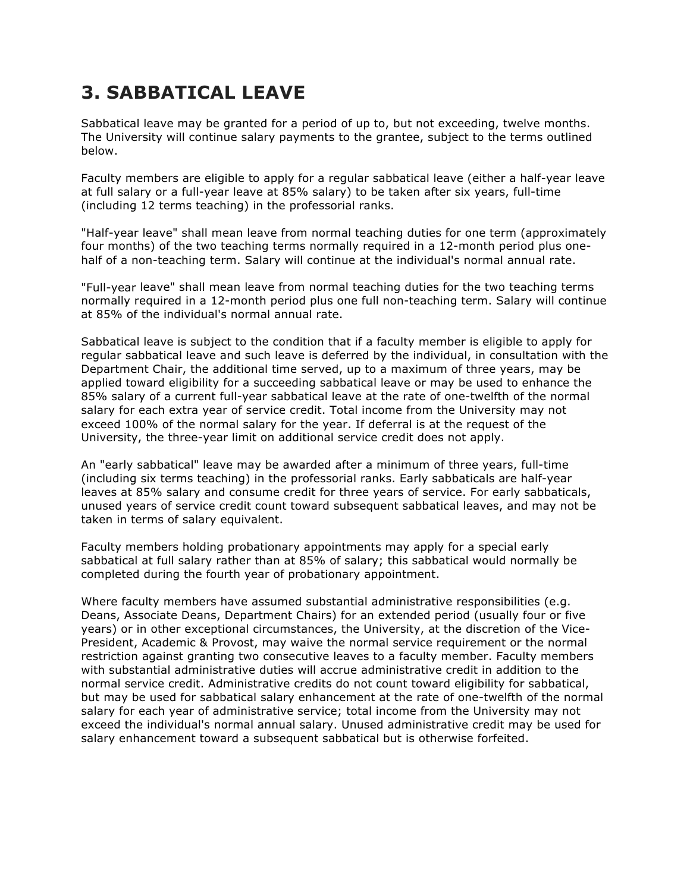### **3. SABBATICAL LEAVE**

 Sabbatical leave may be granted for a period of up to, but not exceeding, twelve months. The University will continue salary payments to the grantee, subject to the terms outlined below.

 Faculty members are eligible to apply for a regular sabbatical leave (either a half-year leave at full salary or a full-year leave at 85% salary) to be taken after six years, full-time (including 12 terms teaching) in the professorial ranks.

 "Half-year leave" shall mean leave from normal teaching duties for one term (approximately four months) of the two teaching terms normally required in a 12-month period plus one-half of a non-teaching term. Salary will continue at the individual's normal annual rate.

 "Full-year leave" shall mean leave from normal teaching duties for the two teaching terms normally required in a 12-month period plus one full non-teaching term. Salary will continue at 85% of the individual's normal annual rate.

 Sabbatical leave is subject to the condition that if a faculty member is eligible to apply for regular sabbatical leave and such leave is deferred by the individual, in consultation with the Department Chair, the additional time served, up to a maximum of three years, may be applied toward eligibility for a succeeding sabbatical leave or may be used to enhance the 85% salary of a current full-year sabbatical leave at the rate of one-twelfth of the normal salary for each extra year of service credit. Total income from the University may not exceed 100% of the normal salary for the year. If deferral is at the request of the University, the three-year limit on additional service credit does not apply.

 An "early sabbatical" leave may be awarded after a minimum of three years, full-time (including six terms teaching) in the professorial ranks. Early sabbaticals are half-year leaves at 85% salary and consume credit for three years of service. For early sabbaticals, unused years of service credit count toward subsequent sabbatical leaves, and may not be taken in terms of salary equivalent.

 Faculty members holding probationary appointments may apply for a special early sabbatical at full salary rather than at 85% of salary; this sabbatical would normally be completed during the fourth year of probationary appointment.

 Where faculty members have assumed substantial administrative responsibilities (e.g. Deans, Associate Deans, Department Chairs) for an extended period (usually four or five years) or in other exceptional circumstances, the University, at the discretion of the Vice- President, Academic & Provost, may waive the normal service requirement or the normal restriction against granting two consecutive leaves to a faculty member. Faculty members with substantial administrative duties will accrue administrative credit in addition to the normal service credit. Administrative credits do not count toward eligibility for sabbatical, but may be used for sabbatical salary enhancement at the rate of one-twelfth of the normal salary for each year of administrative service; total income from the University may not exceed the individual's normal annual salary. Unused administrative credit may be used for salary enhancement toward a subsequent sabbatical but is otherwise forfeited.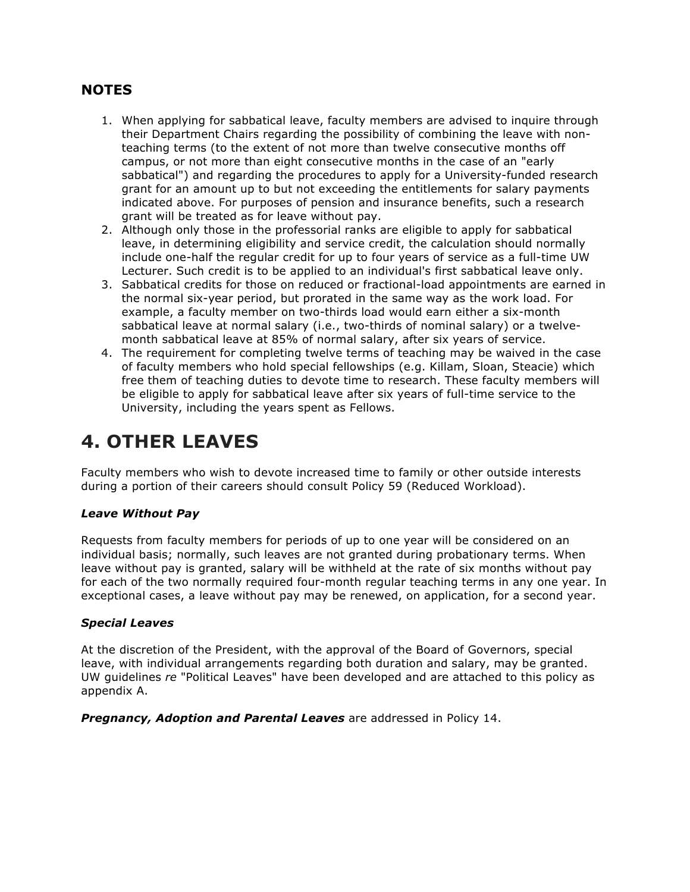#### **NOTES**

- 1. When applying for sabbatical leave, faculty members are advised to inquire through their Department Chairs regarding the possibility of combining the leave with non- teaching terms (to the extent of not more than twelve consecutive months off campus, or not more than eight consecutive months in the case of an "early sabbatical") and regarding the procedures to apply for a University-funded research grant for an amount up to but not exceeding the entitlements for salary payments grant will be treated as for leave without pay. indicated above. For purposes of pension and insurance benefits, such a research
- 2. Although only those in the professorial ranks are eligible to apply for sabbatical include one-half the regular credit for up to four years of service as a full-time UW Lecturer. Such credit is to be applied to an individual's first sabbatical leave only. leave, in determining eligibility and service credit, the calculation should normally
- 3. Sabbatical credits for those on reduced or fractional-load appointments are earned in the normal six-year period, but prorated in the same way as the work load. For example, a faculty member on two-thirds load would earn either a six-month sabbatical leave at normal salary (i.e., two-thirds of nominal salary) or a twelve-month sabbatical leave at 85% of normal salary, after six years of service.
- 4. The requirement for completing twelve terms of teaching may be waived in the case of faculty members who hold special fellowships (e.g. Killam, Sloan, Steacie) which free them of teaching duties to devote time to research. These faculty members will be eligible to apply for sabbatical leave after six years of full-time service to the University, including the years spent as Fellows.

# **4. OTHER LEAVES**

 Faculty members who wish to devote increased time to family or other outside interests during a portion of their careers should consult Policy 59 (Reduced Workload).

#### *Leave Without Pay*

 Requests from faculty members for periods of up to one year will be considered on an individual basis; normally, such leaves are not granted during probationary terms. When for each of the two normally required four-month regular teaching terms in any one year. In exceptional cases, a leave without pay may be renewed, on application, for a second year. leave without pay is granted, salary will be withheld at the rate of six months without pay

#### *Special Leaves*

 At the discretion of the President, with the approval of the Board of Governors, special UW guidelines *re* "Political Leaves" have been developed and are attached to this policy as leave, with individual arrangements regarding both duration and salary, may be granted. appendix A.

 *Pregnancy, Adoption and Parental Leaves* are addressed in Policy 14.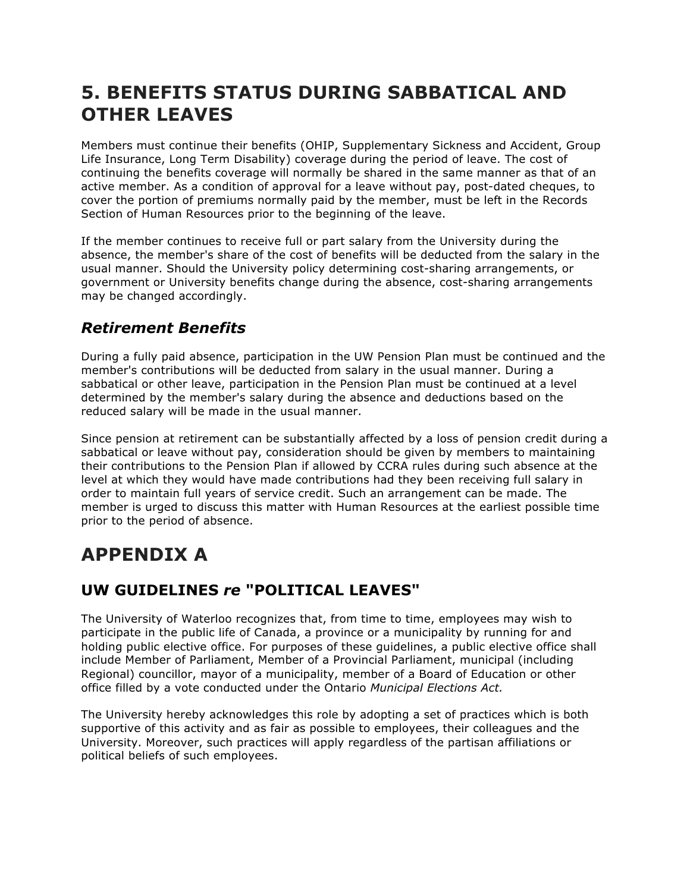### **5. BENEFITS STATUS DURING SABBATICAL AND OTHER LEAVES**

 Members must continue their benefits (OHIP, Supplementary Sickness and Accident, Group Life Insurance, Long Term Disability) coverage during the period of leave. The cost of continuing the benefits coverage will normally be shared in the same manner as that of an active member. As a condition of approval for a leave without pay, post-dated cheques, to cover the portion of premiums normally paid by the member, must be left in the Records Section of Human Resources prior to the beginning of the leave.

 If the member continues to receive full or part salary from the University during the absence, the member's share of the cost of benefits will be deducted from the salary in the usual manner. Should the University policy determining cost-sharing arrangements, or government or University benefits change during the absence, cost-sharing arrangements may be changed accordingly.

### *Retirement Benefits*

 During a fully paid absence, participation in the UW Pension Plan must be continued and the member's contributions will be deducted from salary in the usual manner. During a sabbatical or other leave, participation in the Pension Plan must be continued at a level determined by the member's salary during the absence and deductions based on the reduced salary will be made in the usual manner.

 Since pension at retirement can be substantially affected by a loss of pension credit during a sabbatical or leave without pay, consideration should be given by members to maintaining their contributions to the Pension Plan if allowed by CCRA rules during such absence at the order to maintain full years of service credit. Such an arrangement can be made. The member is urged to discuss this matter with Human Resources at the earliest possible time prior to the period of absence. level at which they would have made contributions had they been receiving full salary in

# **APPENDIX A**

### **UW GUIDELINES** *re* **"POLITICAL LEAVES"**

 The University of Waterloo recognizes that, from time to time, employees may wish to participate in the public life of Canada, a province or a municipality by running for and holding public elective office. For purposes of these guidelines, a public elective office shall Regional) councillor, mayor of a municipality, member of a Board of Education or other  office filled by a vote conducted under the Ontario *Municipal Elections Act.*  include Member of Parliament, Member of a Provincial Parliament, municipal (including

 The University hereby acknowledges this role by adopting a set of practices which is both supportive of this activity and as fair as possible to employees, their colleagues and the University. Moreover, such practices will apply regardless of the partisan affiliations or political beliefs of such employees.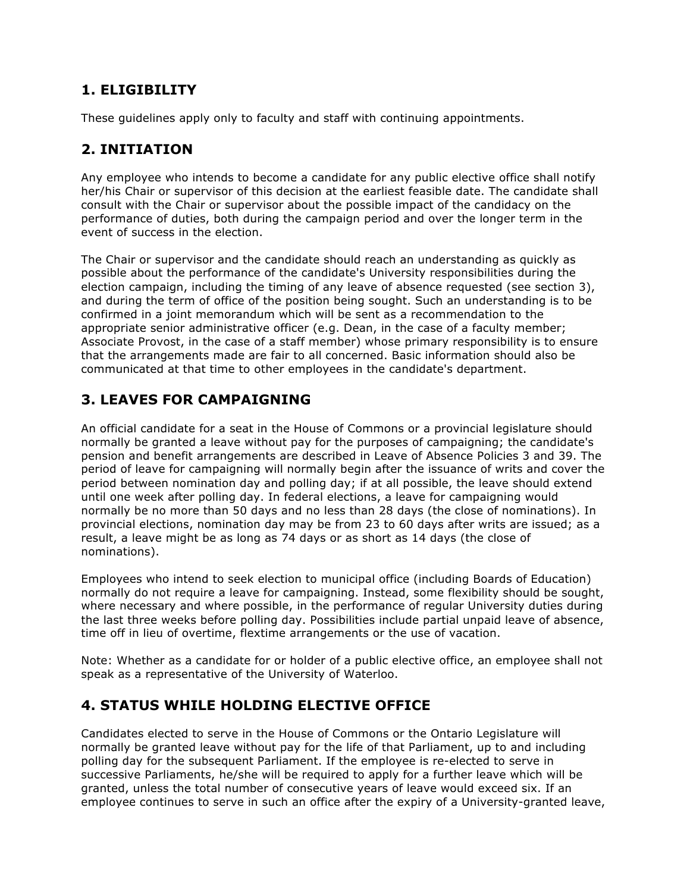#### **1. ELIGIBILITY**

These guidelines apply only to faculty and staff with continuing appointments.

### **2. INITIATION**

 Any employee who intends to become a candidate for any public elective office shall notify her/his Chair or supervisor of this decision at the earliest feasible date. The candidate shall consult with the Chair or supervisor about the possible impact of the candidacy on the performance of duties, both during the campaign period and over the longer term in the event of success in the election.

 The Chair or supervisor and the candidate should reach an understanding as quickly as possible about the performance of the candidate's University responsibilities during the election campaign, including the timing of any leave of absence requested (see section 3), and during the term of office of the position being sought. Such an understanding is to be confirmed in a joint memorandum which will be sent as a recommendation to the appropriate senior administrative officer (e.g. Dean, in the case of a faculty member; Associate Provost, in the case of a staff member) whose primary responsibility is to ensure that the arrangements made are fair to all concerned. Basic information should also be communicated at that time to other employees in the candidate's department.

#### **3. LEAVES FOR CAMPAIGNING**

 An official candidate for a seat in the House of Commons or a provincial legislature should normally be granted a leave without pay for the purposes of campaigning; the candidate's pension and benefit arrangements are described in Leave of Absence Policies 3 and 39. The period of leave for campaigning will normally begin after the issuance of writs and cover the period between nomination day and polling day; if at all possible, the leave should extend until one week after polling day. In federal elections, a leave for campaigning would normally be no more than 50 days and no less than 28 days (the close of nominations). In provincial elections, nomination day may be from 23 to 60 days after writs are issued; as a result, a leave might be as long as 74 days or as short as 14 days (the close of nominations).

 Employees who intend to seek election to municipal office (including Boards of Education) normally do not require a leave for campaigning. Instead, some flexibility should be sought, where necessary and where possible, in the performance of regular University duties during the last three weeks before polling day. Possibilities include partial unpaid leave of absence, time off in lieu of overtime, flextime arrangements or the use of vacation.

 Note: Whether as a candidate for or holder of a public elective office, an employee shall not speak as a representative of the University of Waterloo.

#### **4. STATUS WHILE HOLDING ELECTIVE OFFICE**

 Candidates elected to serve in the House of Commons or the Ontario Legislature will normally be granted leave without pay for the life of that Parliament, up to and including polling day for the subsequent Parliament. If the employee is re-elected to serve in successive Parliaments, he/she will be required to apply for a further leave which will be granted, unless the total number of consecutive years of leave would exceed six. If an employee continues to serve in such an office after the expiry of a University-granted leave,